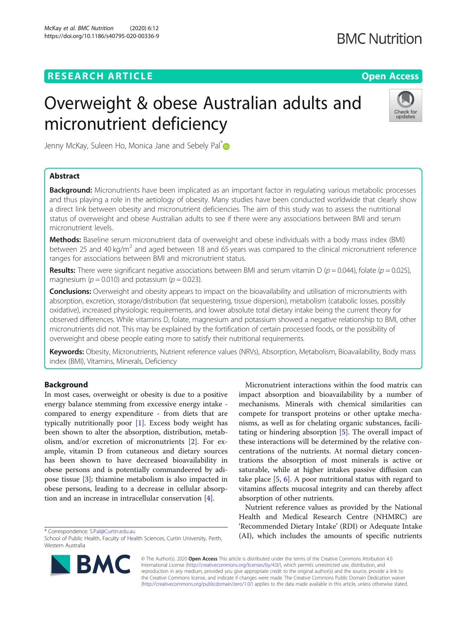## **RESEARCH ARTICLE Example 2014 CONSIDERING A RESEARCH ARTICLE**

## **BMC Nutrition**

# Overweight & obese Australian adults and micronutrient deficiency



Jenny McKay, Suleen Ho, Monica Jane and Sebely Pal<sup>[\\*](http://orcid.org/0000-0001-5213-7998)</sup>

## Abstract

Background: Micronutrients have been implicated as an important factor in regulating various metabolic processes and thus playing a role in the aetiology of obesity. Many studies have been conducted worldwide that clearly show a direct link between obesity and micronutrient deficiencies. The aim of this study was to assess the nutritional status of overweight and obese Australian adults to see if there were any associations between BMI and serum micronutrient levels.

Methods: Baseline serum micronutrient data of overweight and obese individuals with a body mass index (BMI) between 25 and 40 kg/ $m^2$  and aged between 18 and 65 years was compared to the clinical micronutrient reference ranges for associations between BMI and micronutrient status.

**Results:** There were significant negative associations between BMI and serum vitamin D ( $p = 0.044$ ), folate ( $p = 0.025$ ), magnesium ( $p = 0.010$ ) and potassium ( $p = 0.023$ ).

Conclusions: Overweight and obesity appears to impact on the bioavailability and utilisation of micronutrients with absorption, excretion, storage/distribution (fat sequestering, tissue dispersion), metabolism (catabolic losses, possibly oxidative), increased physiologic requirements, and lower absolute total dietary intake being the current theory for observed differences. While vitamins D, folate, magnesium and potassium showed a negative relationship to BMI, other micronutrients did not. This may be explained by the fortification of certain processed foods, or the possibility of overweight and obese people eating more to satisfy their nutritional requirements.

Keywords: Obesity, Micronutrients, Nutrient reference values (NRVs), Absorption, Metabolism, Bioavailability, Body mass index (BMI), Vitamins, Minerals, Deficiency

## Background

In most cases, overweight or obesity is due to a positive energy balance stemming from excessive energy intake compared to energy expenditure - from diets that are typically nutritionally poor [[1\]](#page-11-0). Excess body weight has been shown to alter the absorption, distribution, metabolism, and/or excretion of micronutrients [[2](#page-11-0)]. For example, vitamin D from cutaneous and dietary sources has been shown to have decreased bioavailability in obese persons and is potentially commandeered by adipose tissue [\[3](#page-11-0)]; thiamine metabolism is also impacted in obese persons, leading to a decrease in cellular absorption and an increase in intracellular conservation [[4](#page-11-0)].

\* Correspondence: [S.Pal@Curtin.edu.au](mailto:S.Pal@Curtin.edu.au)

School of Public Health, Faculty of Health Sciences, Curtin University, Perth, Western Australia



Micronutrient interactions within the food matrix can impact absorption and bioavailability by a number of mechanisms. Minerals with chemical similarities can compete for transport proteins or other uptake mechanisms, as well as for chelating organic substances, facilitating or hindering absorption [[5\]](#page-11-0). The overall impact of these interactions will be determined by the relative concentrations of the nutrients. At normal dietary concentrations the absorption of most minerals is active or saturable, while at higher intakes passive diffusion can take place [[5,](#page-11-0) [6\]](#page-11-0). A poor nutritional status with regard to vitamins affects mucosal integrity and can thereby affect absorption of other nutrients.

Nutrient reference values as provided by the National Health and Medical Research Centre (NHMRC) are 'Recommended Dietary Intake' (RDI) or Adequate Intake (AI), which includes the amounts of specific nutrients

© The Author(s). 2020 Open Access This article is distributed under the terms of the Creative Commons Attribution 4.0 International License [\(http://creativecommons.org/licenses/by/4.0/](http://creativecommons.org/licenses/by/4.0/)), which permits unrestricted use, distribution, and reproduction in any medium, provided you give appropriate credit to the original author(s) and the source, provide a link to the Creative Commons license, and indicate if changes were made. The Creative Commons Public Domain Dedication waiver [\(http://creativecommons.org/publicdomain/zero/1.0/](http://creativecommons.org/publicdomain/zero/1.0/)) applies to the data made available in this article, unless otherwise stated.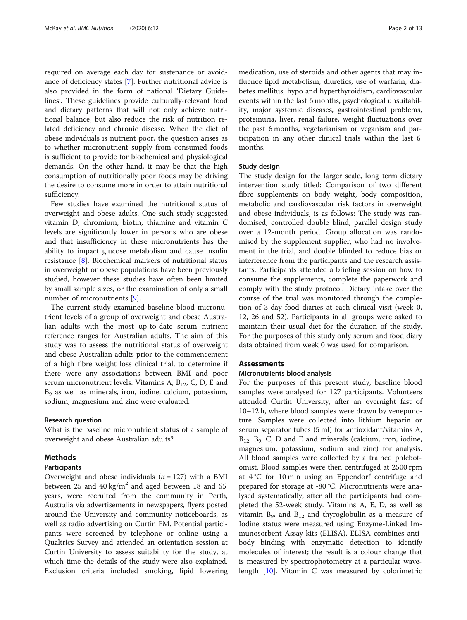required on average each day for sustenance or avoidance of deficiency states [\[7](#page-11-0)]. Further nutritional advice is also provided in the form of national 'Dietary Guidelines'. These guidelines provide culturally-relevant food and dietary patterns that will not only achieve nutritional balance, but also reduce the risk of nutrition related deficiency and chronic disease. When the diet of obese individuals is nutrient poor, the question arises as to whether micronutrient supply from consumed foods is sufficient to provide for biochemical and physiological demands. On the other hand, it may be that the high consumption of nutritionally poor foods may be driving the desire to consume more in order to attain nutritional sufficiency.

Few studies have examined the nutritional status of overweight and obese adults. One such study suggested vitamin D, chromium, biotin, thiamine and vitamin C levels are significantly lower in persons who are obese and that insufficiency in these micronutrients has the ability to impact glucose metabolism and cause insulin resistance [[8\]](#page-11-0). Biochemical markers of nutritional status in overweight or obese populations have been previously studied, however these studies have often been limited by small sample sizes, or the examination of only a small number of micronutrients [[9\]](#page-11-0).

The current study examined baseline blood micronutrient levels of a group of overweight and obese Australian adults with the most up-to-date serum nutrient reference ranges for Australian adults. The aim of this study was to assess the nutritional status of overweight and obese Australian adults prior to the commencement of a high fibre weight loss clinical trial, to determine if there were any associations between BMI and poor serum micronutrient levels. Vitamins A,  $B_{12}$ , C, D, E and B9 as well as minerals, iron, iodine, calcium, potassium, sodium, magnesium and zinc were evaluated.

#### Research question

What is the baseline micronutrient status of a sample of overweight and obese Australian adults?

#### Methods

#### Participants

Overweight and obese individuals  $(n = 127)$  with a BMI between 25 and 40 kg/m<sup>2</sup> and aged between 18 and 65 years, were recruited from the community in Perth, Australia via advertisements in newspapers, flyers posted around the University and community noticeboards, as well as radio advertising on Curtin FM. Potential participants were screened by telephone or online using a Qualtrics Survey and attended an orientation session at Curtin University to assess suitability for the study, at which time the details of the study were also explained. Exclusion criteria included smoking, lipid lowering

medication, use of steroids and other agents that may influence lipid metabolism, diuretics, use of warfarin, diabetes mellitus, hypo and hyperthyroidism, cardiovascular events within the last 6 months, psychological unsuitability, major systemic diseases, gastrointestinal problems, proteinuria, liver, renal failure, weight fluctuations over the past 6 months, vegetarianism or veganism and participation in any other clinical trials within the last 6 months.

#### Study design

The study design for the larger scale, long term dietary intervention study titled: Comparison of two different fibre supplements on body weight, body composition, metabolic and cardiovascular risk factors in overweight and obese individuals, is as follows: The study was randomised, controlled double blind, parallel design study over a 12-month period. Group allocation was randomised by the supplement supplier, who had no involvement in the trial, and double blinded to reduce bias or interference from the participants and the research assistants. Participants attended a briefing session on how to consume the supplements, complete the paperwork and comply with the study protocol. Dietary intake over the course of the trial was monitored through the completion of 3-day food diaries at each clinical visit (week 0, 12, 26 and 52). Participants in all groups were asked to maintain their usual diet for the duration of the study. For the purposes of this study only serum and food diary data obtained from week 0 was used for comparison.

## Assessments

#### Micronutrients blood analysis

For the purposes of this present study, baseline blood samples were analysed for 127 participants. Volunteers attended Curtin University, after an overnight fast of 10–12 h, where blood samples were drawn by venepuncture. Samples were collected into lithium heparin or serum separator tubes (5 ml) for antioxidant/vitamins A,  $B_{12}$ ,  $B_9$ , C, D and E and minerals (calcium, iron, iodine, magnesium, potassium, sodium and zinc) for analysis. All blood samples were collected by a trained phlebotomist. Blood samples were then centrifuged at 2500 rpm at 4 °C for 10 min using an Eppendorf centrifuge and prepared for storage at -80 °C. Micronutrients were analysed systematically, after all the participants had completed the 52-week study. Vitamins A, E, D, as well as vitamin  $B_9$ , and  $B_{12}$  and thyroglobulin as a measure of Iodine status were measured using Enzyme-Linked Immunosorbent Assay kits (ELISA). ELISA combines antibody binding with enzymatic detection to identify molecules of interest; the result is a colour change that is measured by spectrophotometry at a particular wavelength [[10](#page-11-0)]. Vitamin C was measured by colorimetric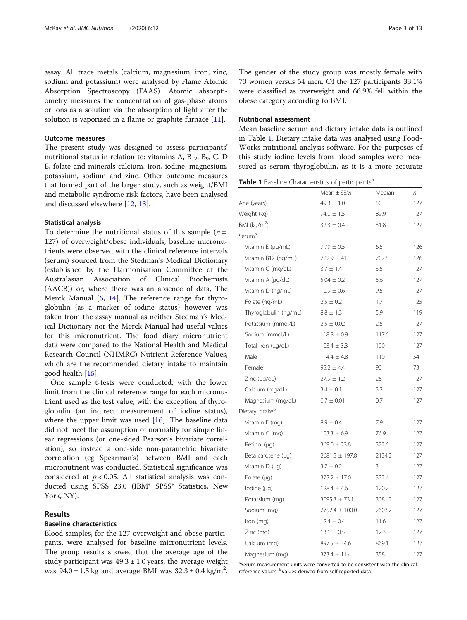<span id="page-2-0"></span>assay. All trace metals (calcium, magnesium, iron, zinc, sodium and potassium) were analysed by Flame Atomic Absorption Spectroscopy (FAAS). Atomic absorptiometry measures the concentration of gas-phase atoms or ions as a solution via the absorption of light after the solution is vaporized in a flame or graphite furnace [[11](#page-11-0)].

#### Outcome measures

The present study was designed to assess participants' nutritional status in relation to: vitamins A,  $B_{12}$ ,  $B_9$ , C, D E, folate and minerals calcium, iron, iodine, magnesium, potassium, sodium and zinc. Other outcome measures that formed part of the larger study, such as weight/BMI and metabolic syndrome risk factors, have been analysed and discussed elsewhere [[12,](#page-11-0) [13\]](#page-11-0).

#### Statistical analysis

To determine the nutritional status of this sample  $(n =$ 127) of overweight/obese individuals, baseline micronutrients were observed with the clinical reference intervals (serum) sourced from the Stedman's Medical Dictionary (established by the Harmonisation Committee of the Australasian Association of Clinical Biochemists (AACB)) or, where there was an absence of data, The Merck Manual [[6,](#page-11-0) [14](#page-11-0)]. The reference range for thyroglobulin (as a marker of iodine status) however was taken from the assay manual as neither Stedman's Medical Dictionary nor the Merck Manual had useful values for this micronutrient. The food diary micronutrient data were compared to the National Health and Medical Research Council (NHMRC) Nutrient Reference Values, which are the recommended dietary intake to maintain good health [\[15\]](#page-11-0).

One sample t-tests were conducted, with the lower limit from the clinical reference range for each micronutrient used as the test value, with the exception of thyroglobulin (an indirect measurement of iodine status), where the upper limit was used [[16](#page-11-0)]. The baseline data did not meet the assumption of normality for simple linear regressions (or one-sided Pearson's bivariate correlation), so instead a one-side non-parametric bivariate correlation (eg Spearman's) between BMI and each micronutrient was conducted. Statistical significance was considered at  $p < 0.05$ . All statistical analysis was conducted using SPSS 23.0 (IBM® SPSS® Statistics, New York, NY).

#### Results

#### Baseline characteristics

Blood samples, for the 127 overweight and obese participants, were analysed for baseline micronutrient levels. The group results showed that the average age of the study participant was  $49.3 \pm 1.0$  years, the average weight was  $94.0 \pm 1.5$  kg and average BMI was  $32.3 \pm 0.4$  kg/m<sup>2</sup>.

The gender of the study group was mostly female with 73 women versus 54 men. Of the 127 participants 33.1% were classified as overweight and 66.9% fell within the obese category according to BMI.

#### Nutritional assessment

Mean baseline serum and dietary intake data is outlined in Table 1. Dietary intake data was analysed using Food-Works nutritional analysis software. For the purposes of this study iodine levels from blood samples were measured as serum thyroglobulin, as it is a more accurate

Table 1 Baseline Characteristics of participants<sup>a</sup>

|                             | $Mean \pm SEM$     | Median | $\sqrt{n}$ |
|-----------------------------|--------------------|--------|------------|
| Age (years)                 | $49.3 \pm 1.0$     | 50     | 127        |
| Weight (kg)                 | $94.0 \pm 1.5$     | 89.9   | 127        |
| BMI ( $kg/m2$ )             | $32.3 \pm 0.4$     | 31.8   | 127        |
| Serum <sup>a</sup>          |                    |        |            |
| Vitamin E (µg/mL)           | $7.79 \pm 0.5$     | 6.5    | 126        |
| Vitamin B12 (pg/mL)         | $722.9 \pm 41.3$   | 707.8  | 126        |
| Vitamin C (mg/dL)           | $3.7 \pm 1.4$      | 3.5    | 127        |
| Vitamin A (µg/dL)           | $5.04 \pm 0.2$     | 5.6    | 127        |
| Vitamin D (ng/mL)           | $10.9 \pm 0.6$     | 9.5    | 127        |
| Folate (ng/mL)              | $2.5 \pm 0.2$      | 1.7    | 125        |
| Thyroglobulin (ng/mL)       | $8.8 \pm 1.3$      | 5.9    | 119        |
| Potassium (mmol/L)          | $2.5 \pm 0.02$     | 2.5    | 127        |
| Sodium (mmol/L)             | $118.8 \pm 0.9$    | 117.6  | 127        |
| Total Iron (µg/dL)          | $103.4 \pm 3.3$    | 100    | 127        |
| Male                        | $114.4 \pm 4.8$    | 110    | 54         |
| Female                      | $95.2 \pm 4.4$     | 90     | 73         |
| Zinc $(\mu q/dL)$           | $27.9 \pm 1.2$     | 25     | 127        |
| Calcium (mg/dL)             | $3.4 \pm 0.1$      | 3.3    | 127        |
| Magnesium (mg/dL)           | $0.7 \pm 0.01$     | 0.7    | 127        |
| Dietary Intake <sup>b</sup> |                    |        |            |
| Vitamin E (mg)              | $8.9 \pm 0.4$      | 7.9    | 127        |
| Vitamin C (mg)              | $103.3 \pm 6.9$    | 76.9   | 127        |
| Retinol (µq)                | $369.0 \pm 23.8$   | 322.6  | 127        |
| Beta carotene (µg)          | $2681.5 \pm 197.8$ | 2134.2 | 127        |
| Vitamin $D(\mu q)$          | $3.7 \pm 0.2$      | 3      | 127        |
| Folate $(\mu q)$            | $373.2 \pm 17.0$   | 332.4  | 127        |
| lodine $(\mu q)$            | $128.4 \pm 4.6$    | 120.2  | 127        |
| Potassium (mg)              | $3095.3 \pm 73.1$  | 3081.2 | 127        |
| Sodium (mg)                 | $2752.4 \pm 100.0$ | 2603.2 | 127        |
| Iron (mg)                   | $12.4 \pm 0.4$     | 11.6   | 127        |
| Zinc (mg)                   | $13.1 \pm 0.5$     | 12.3   | 127        |
| Calcium (mg)                | $897.5 \pm 34.6$   | 869.1  | 127        |
| Magnesium (mg)              | $373.4 \pm 11.4$   | 358    | 127        |

<sup>a</sup>Serum measurement units were converted to be consistent with the clinical reference values. <sup>b</sup>Values derived from self-reported data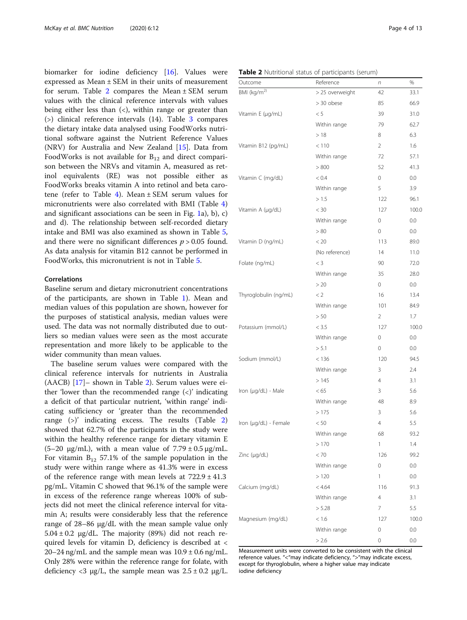<span id="page-3-0"></span>biomarker for iodine deficiency [\[16](#page-11-0)]. Values were expressed as Mean ± SEM in their units of measurement for serum. Table 2 compares the Mean  $\pm$  SEM serum values with the clinical reference intervals with values being either less than  $\left\langle \epsilon \right\rangle$ , within range or greater than (>) clinical reference intervals (14). Table [3](#page-4-0) compares the dietary intake data analysed using FoodWorks nutritional software against the Nutrient Reference Values (NRV) for Australia and New Zealand [[15](#page-11-0)]. Data from FoodWorks is not available for  $B_{12}$  and direct comparison between the NRVs and vitamin A, measured as retinol equivalents (RE) was not possible either as FoodWorks breaks vitamin A into retinol and beta caro-tene (refer to Table [4\)](#page-4-0). Mean  $\pm$  SEM serum values for micronutrients were also correlated with BMI (Table [4](#page-4-0)) and significant associations can be seen in Fig. [1](#page-5-0)a), b), c) and d). The relationship between self-recorded dietary intake and BMI was also examined as shown in Table [5](#page-6-0), and there were no significant differences  $p > 0.05$  found. As data analysis for vitamin B12 cannot be performed in FoodWorks, this micronutrient is not in Table [5](#page-6-0).

#### Correlations

Baseline serum and dietary micronutrient concentrations of the participants, are shown in Table [1](#page-2-0)). Mean and median values of this population are shown, however for the purposes of statistical analysis, median values were used. The data was not normally distributed due to outliers so median values were seen as the most accurate representation and more likely to be applicable to the wider community than mean values.

The baseline serum values were compared with the clinical reference intervals for nutrients in Australia (AACB) [[17\]](#page-11-0)– shown in Table 2). Serum values were either 'lower than the recommended range  $(\langle \cdot \rangle)$ ' indicating a deficit of that particular nutrient, 'within range' indicating sufficiency or 'greater than the recommended range (>)' indicating excess. The results (Table 2) showed that 62.7% of the participants in the study were within the healthy reference range for dietary vitamin E (5–20 μg/mL), with a mean value of 7.79 ± 0.5 μg/mL. For vitamin  $B_{12}$  57.1% of the sample population in the study were within range where as 41.3% were in excess of the reference range with mean levels at  $722.9 \pm 41.3$ pg/mL. Vitamin C showed that 96.1% of the sample were in excess of the reference range whereas 100% of subjects did not meet the clinical reference interval for vitamin A; results were considerably less that the reference range of 28–86 μg/dL with the mean sample value only  $5.04 \pm 0.2$  µg/dL. The majority (89%) did not reach required levels for vitamin D, deficiency is described at < 20–24 ng/mL and the sample mean was  $10.9 \pm 0.6$  ng/mL. Only 28% were within the reference range for folate, with deficiency <3 μg/L, the sample mean was  $2.5 \pm 0.2$  μg/L.

| Table 2 Nutritional status of participants (serum) |  |
|----------------------------------------------------|--|
|----------------------------------------------------|--|

| Outcome                 | Reference       | n              | %       |
|-------------------------|-----------------|----------------|---------|
| BMI (kg/m <sup>2)</sup> | > 25 overweight | 42             | 33.1    |
|                         | > 30 obese      | 85             | 66.9    |
| Vitamin E (µg/mL)       | < 5             | 39             | 31.0    |
|                         | Within range    | 79             | 62.7    |
|                         | >18             | 8              | 6.3     |
| Vitamin B12 (pg/mL)     | < 110           | $\overline{2}$ | 1.6     |
|                         | Within range    | 72             | 57.1    |
|                         | > 800           | 52             | 41.3    |
| Vitamin C (mg/dL)       | < 0.4           | $\circ$        | 0.0     |
|                         | Within range    | 5              | 3.9     |
|                         | > 1.5           | 122            | 96.1    |
| Vitamin A (µg/dL)       | $< 30\,$        | 127            | 100.0   |
|                         | Within range    | $\circ$        | 0.0     |
|                         | > 80            | $\circ$        | 0.0     |
| Vitamin D (ng/mL)       | < 20            | 113            | 89.0    |
|                         | (No reference)  | 14             | 11.0    |
| Folate (ng/mL)          | $<$ 3           | 90             | 72.0    |
|                         | Within range    | 35             | 28.0    |
|                         | > 20            | $\overline{0}$ | $0.0\,$ |
| Thyroglobulin (ng/mL)   | < 2             | 16             | 13.4    |
|                         | Within range    | 101            | 84.9    |
|                         | > 50            | $\overline{2}$ | 1.7     |
| Potassium (mmol/L)      | < 3.5           | 127            | 100.0   |
|                         | Within range    | 0              | 0.0     |
|                         | > 5.1           | $\circ$        | 0.0     |
| Sodium (mmol/L)         | < 136           | 120            | 94.5    |
|                         | Within range    | 3              | 2.4     |
|                         | >145            | $\overline{4}$ | 3.1     |
| Iron (µg/dL) - Male     | < 65            | 3              | 5.6     |
|                         | Within range    | 48             | 8.9     |
|                         | >175            | 3              | 5.6     |
| Iron (µg/dL) - Female   | < 50            | 4              | 5.5     |
|                         | Within range    | 68             | 93.2    |
|                         | >170            | 1              | 1.4     |
| Zinc (µg/dL)            | < 70            | 126            | 99.2    |
|                         | Within range    | 0              | 0.0     |
|                         | >120            | 1              | 0.0     |
| Calcium (mg/dL)         | < 4.64          | 116            | 91.3    |
|                         | Within range    | 4              | 3.1     |
|                         | > 5.28          | 7              | 5.5     |
| Magnesium (mg/dL)       | < 1.6           | 127            | 100.0   |
|                         | Within range    | 0              | 0.0     |
|                         | > 2.6           | 0              | 0.0     |

Measurement units were converted to be consistent with the clinical reference values. "<"may indicate deficiency, ">"may indicate excess, except for thyroglobulin, where a higher value may indicate iodine deficiency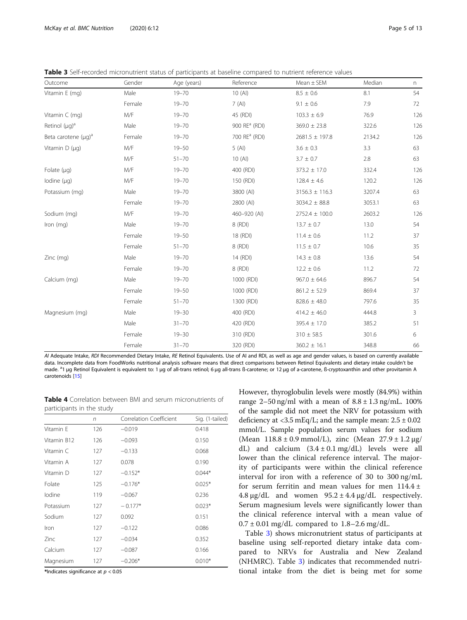<span id="page-4-0"></span>Table 3 Self-recorded micronutrient status of participants at baseline compared to nutrient reference values

| Outcome                   | Gender | Age (years) | Reference                 | $Mean \pm SEM$     | Median | n   |
|---------------------------|--------|-------------|---------------------------|--------------------|--------|-----|
| Vitamin E (mg)            | Male   | $19 - 70$   | 10(A)                     | $8.5 \pm 0.6$      | 8.1    | 54  |
|                           | Female | $19 - 70$   | 7(AI)                     | $9.1 \pm 0.6$      | 7.9    | 72  |
| Vitamin $C$ (mg)          | M/F    | $19 - 70$   | 45 (RDI)                  | $103.3 \pm 6.9$    | 76.9   | 126 |
| Retinol $(\mu q)^a$       | Male   | $19 - 70$   | 900 RE <sup>a</sup> (RDI) | $369.0 \pm 23.8$   | 322.6  | 126 |
| Beta carotene $(\mu q)^a$ | Female | $19 - 70$   | 700 RE <sup>a</sup> (RDI) | $2681.5 \pm 197.8$ | 2134.2 | 126 |
| Vitamin $D(\mu q)$        | M/F    | $19 - 50$   | 5(AI)                     | $3.6 \pm 0.3$      | 3.3    | 63  |
|                           | M/F    | $51 - 70$   | 10(A)                     | $3.7\,\pm\,0.7$    | 2.8    | 63  |
| Folate $(\mu q)$          | M/F    | $19 - 70$   | 400 (RDI)                 | $373.2 \pm 17.0$   | 332.4  | 126 |
| lodine $(\mu q)$          | M/F    | $19 - 70$   | 150 (RDI)                 | $128.4 \pm 4.6$    | 120.2  | 126 |
| Potassium (mg)            | Male   | $19 - 70$   | 3800 (AI)                 | $3156.3 \pm 116.3$ | 3207.4 | 63  |
|                           | Female | $19 - 70$   | 2800 (AI)                 | $3034.2 \pm 88.8$  | 3053.1 | 63  |
| Sodium (mg)               | M/F    | $19 - 70$   | 460-920 (AI)              | $2752.4 \pm 100.0$ | 2603.2 | 126 |
| Iron (mg)                 | Male   | $19 - 70$   | 8 (RDI)                   | $13.7 \pm 0.7$     | 13.0   | 54  |
|                           | Female | $19 - 50$   | 18 (RDI)                  | $11.4 \pm 0.6$     | 11.2   | 37  |
|                           | Female | $51 - 70$   | 8 (RDI)                   | $11.5 \pm 0.7$     | 10.6   | 35  |
| Zinc (mg)                 | Male   | $19 - 70$   | 14 (RDI)                  | $14.3 \pm 0.8$     | 13.6   | 54  |
|                           | Female | $19 - 70$   | 8 (RDI)                   | $12.2 \pm 0.6$     | 11.2   | 72  |
| Calcium (mg)              | Male   | $19 - 70$   | 1000 (RDI)                | $967.0 \pm 64.6$   | 896.7  | 54  |
|                           | Female | $19 - 50$   | 1000 (RDI)                | $861.2 \pm 52.9$   | 869.4  | 37  |
|                           | Female | $51 - 70$   | 1300 (RDI)                | $828.6 \pm 48.0$   | 797.6  | 35  |
| Magnesium (mg)            | Male   | $19 - 30$   | 400 (RDI)                 | $414.2 \pm 46.0$   | 444.8  | 3   |
|                           | Male   | $31 - 70$   | 420 (RDI)                 | $395.4 \pm 17.0$   | 385.2  | 51  |
|                           | Female | $19 - 30$   | 310 (RDI)                 | $310 \pm 58.5$     | 301.6  | 6   |
|                           | Female | $31 - 70$   | 320 (RDI)                 | $360.2 \pm 16.1$   | 348.8  | 66  |

AI Adequate Intake, RDI Recommended Dietary Intake, RE Retinol Equivalents. Use of AI and RDI, as well as age and gender values, is based on currently available data. Incomplete data from FoodWorks nutritional analysis software means that direct comparisons between Retinol Equivalents and dietary intake couldn't be made. <sup>a</sup>l μg Retinol Equivalent is equivalent to: 1 μg of all-trans retinol; 6 μg all-trans ß-carotene; or 12 μg of a-carotene, ß-cryptoxanthin and other provitamin A carotenoids [\[15](#page-11-0)]

Table 4 Correlation between BMI and serum micronutrients of participants in the study

|             | $\sqrt{n}$ | Correlation Coefficient | Sig. (1-tailed) |
|-------------|------------|-------------------------|-----------------|
| Vitamin F   | 126        | $-0.019$                | 0.418           |
| Vitamin B12 | 126        | $-0.093$                | 0.150           |
| Vitamin C   | 127        | $-0.133$                | 0.068           |
| Vitamin A   | 127        | 0.078                   | 0.190           |
| Vitamin D   | 127        | $-0.152*$               | $0.044*$        |
| Folate      | 125        | $-0.176*$               | $0.025*$        |
| lodine      | 119        | $-0.067$                | 0.236           |
| Potassium   | 127        | $-0.177*$               | $0.023*$        |
| Sodium      | 127        | 0.092                   | 0.151           |
| Iron        | 127        | $-0.122$                | 0.086           |
| Zinc        | 127        | $-0.034$                | 0.352           |
| Calcium     | 127        | $-0.087$                | 0.166           |
| Magnesium   | 127        | $-0.206*$               | $0.010*$        |

\*Indicates significance at  $p < 0.05$ 

However, thyroglobulin levels were mostly (84.9%) within range  $2-50$  ng/ml with a mean of  $8.8 \pm 1.3$  ng/mL. 100% of the sample did not meet the NRV for potassium with deficiency at  $\langle 3.5 \text{ mEq/L} \rangle$ ; and the sample mean:  $2.5 \pm 0.02$ mmol/L. Sample population serum values for sodium (Mean  $118.8 \pm 0.9$  mmol/L), zinc (Mean  $27.9 \pm 1.2$  µg/ dL) and calcium  $(3.4 \pm 0.1 \text{ mg/dL})$  levels were all lower than the clinical reference interval. The majority of participants were within the clinical reference interval for iron with a reference of 30 to 300 ng/mL for serum ferritin and mean values for men 114.4 ± 4.8  $\mu$ g/dL and women 95.2 ± 4.4  $\mu$ g/dL respectively. Serum magnesium levels were significantly lower than the clinical reference interval with a mean value of  $0.7 \pm 0.01$  mg/dL compared to 1.8–2.6 mg/dL.

Table 3) shows micronutrient status of participants at baseline using self-reported dietary intake data compared to NRVs for Australia and New Zealand (NHMRC). Table 3) indicates that recommended nutritional intake from the diet is being met for some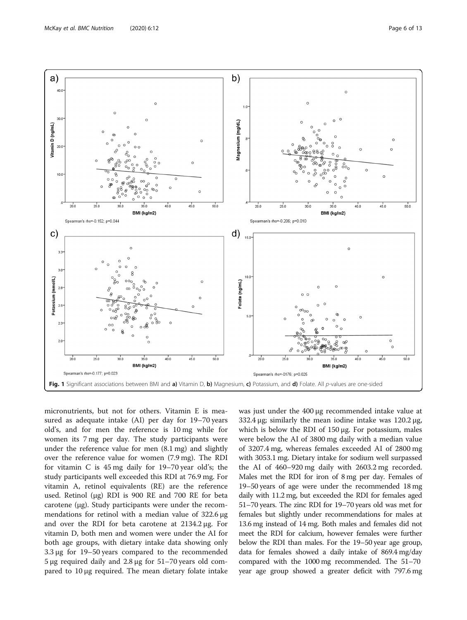<span id="page-5-0"></span>

micronutrients, but not for others. Vitamin E is measured as adequate intake (AI) per day for 19–70 years old's, and for men the reference is 10 mg while for women its 7 mg per day. The study participants were under the reference value for men (8.1 mg) and slightly over the reference value for women (7.9 mg). The RDI for vitamin C is 45 mg daily for 19–70 year old's; the study participants well exceeded this RDI at 76.9 mg. For vitamin A, retinol equivalents (RE) are the reference used. Retinol (μg) RDI is 900 RE and 700 RE for beta carotene (μg). Study participants were under the recommendations for retinol with a median value of 322.6 μg and over the RDI for beta carotene at 2134.2 μg. For vitamin D, both men and women were under the AI for both age groups, with dietary intake data showing only 3.3 μg for 19–50 years compared to the recommended 5 μg required daily and 2.8 μg for 51–70 years old compared to 10 μg required. The mean dietary folate intake was just under the 400 μg recommended intake value at 332.4 μg; similarly the mean iodine intake was  $120.2 \mu$ g, which is below the RDI of 150 μg. For potassium, males were below the AI of 3800 mg daily with a median value of 3207.4 mg, whereas females exceeded AI of 2800 mg with 3053.1 mg. Dietary intake for sodium well surpassed the AI of 460–920 mg daily with 2603.2 mg recorded. Males met the RDI for iron of 8 mg per day. Females of 19–50 years of age were under the recommended 18 mg daily with 11.2 mg, but exceeded the RDI for females aged 51–70 years. The zinc RDI for 19–70 years old was met for females but slightly under recommendations for males at 13.6 mg instead of 14 mg. Both males and females did not meet the RDI for calcium, however females were further below the RDI than males. For the 19–50 year age group, data for females showed a daily intake of 869.4 mg/day compared with the 1000 mg recommended. The 51–70 year age group showed a greater deficit with 797.6 mg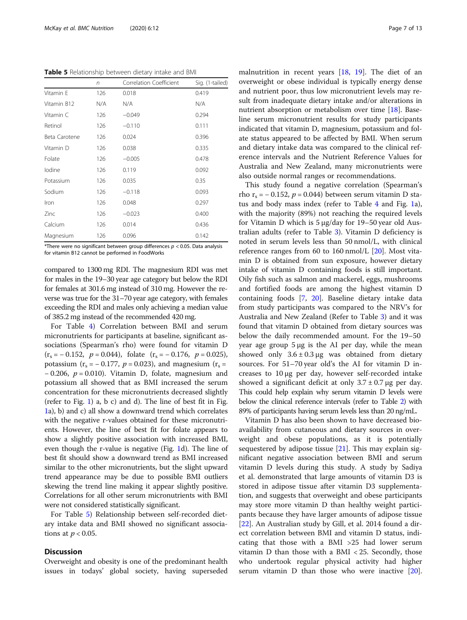<span id="page-6-0"></span>Table 5 Relationship between dietary intake and BMI

|               | n   | Correlation Coefficient | Sig. (1-tailed) |
|---------------|-----|-------------------------|-----------------|
| Vitamin E     | 126 | 0.018                   | 0.419           |
| Vitamin B12   | N/A | N/A                     | N/A             |
| Vitamin C     | 126 | $-0.049$                | 0.294           |
| Retinol       | 126 | $-0.110$                | 0.111           |
| Beta Carotene | 126 | 0.024                   | 0.396           |
| Vitamin D     | 126 | 0.038                   | 0.335           |
| Folate        | 126 | $-0.005$                | 0.478           |
| lodine        | 126 | 0.119                   | 0.092           |
| Potassium     | 126 | 0.035                   | 0.35            |
| Sodium        | 126 | $-0.118$                | 0.093           |
| Iron          | 126 | 0.048                   | 0.297           |
| Zinc          | 126 | $-0.023$                | 0.400           |
| Calcium       | 126 | 0.014                   | 0.436           |
| Magnesium     | 126 | 0.096                   | 0.142           |

\*There were no significant between group differences  $p < 0.05$ . Data analysis for vitamin B12 cannot be performed in FoodWorks

compared to 1300 mg RDI. The magnesium RDI was met for males in the 19–30 year age category but below the RDI for females at 301.6 mg instead of 310 mg. However the reverse was true for the 31–70 year age category, with females exceeding the RDI and males only achieving a median value of 385.2 mg instead of the recommended 420 mg.

For Table [4](#page-4-0)) Correlation between BMI and serum micronutrients for participants at baseline, significant associations (Spearman's rho) were found for vitamin D  $(r<sub>s</sub> = -0.152, p = 0.044)$ , folate  $(r<sub>s</sub> = -0.176, p = 0.025)$ , potassium ( $r_s = -0.177$ ,  $p = 0.023$ ), and magnesium ( $r_s =$  $-0.206$ ,  $p = 0.010$ ). Vitamin D, folate, magnesium and potassium all showed that as BMI increased the serum concentration for these micronutrients decreased slightly (refer to Fig. [1](#page-5-0)) a, b c) and d). The line of best fit in Fig. [1a](#page-5-0)), b) and c) all show a downward trend which correlates with the negative r-values obtained for these micronutrients. However, the line of best fit for folate appears to show a slightly positive association with increased BMI, even though the r-value is negative (Fig. [1d](#page-5-0)). The line of best fit should show a downward trend as BMI increased similar to the other micronutrients, but the slight upward trend appearance may be due to possible BMI outliers skewing the trend line making it appear slightly positive. Correlations for all other serum micronutrients with BMI were not considered statistically significant.

For Table 5) Relationship between self-recorded dietary intake data and BMI showed no significant associations at  $p < 0.05$ .

#### **Discussion**

Overweight and obesity is one of the predominant health issues in todays' global society, having superseded malnutrition in recent years [\[18,](#page-11-0) [19](#page-11-0)]. The diet of an overweight or obese individual is typically energy dense and nutrient poor, thus low micronutrient levels may result from inadequate dietary intake and/or alterations in nutrient absorption or metabolism over time [[18\]](#page-11-0). Baseline serum micronutrient results for study participants indicated that vitamin D, magnesium, potassium and folate status appeared to be affected by BMI. When serum and dietary intake data was compared to the clinical reference intervals and the Nutrient Reference Values for Australia and New Zealand, many micronutrients were also outside normal ranges or recommendations.

This study found a negative correlation (Spearman's rho r<sub>s</sub> = − 0.152, *p* = 0.044) between serum vitamin D status and body mass index (refer to Table [4](#page-4-0) and Fig. [1a](#page-5-0)), with the majority (89%) not reaching the required levels for Vitamin D which is 5 μg/day for 19–50 year old Australian adults (refer to Table [3\)](#page-4-0). Vitamin D deficiency is noted in serum levels less than 50 nmol/L, with clinical reference ranges from 60 to 160 nmol/L  $[20]$  $[20]$ . Most vitamin D is obtained from sun exposure, however dietary intake of vitamin D containing foods is still important. Oily fish such as salmon and mackerel, eggs, mushrooms and fortified foods are among the highest vitamin D containing foods [[7](#page-11-0), [20](#page-11-0)]. Baseline dietary intake data from study participants was compared to the NRV's for Australia and New Zealand (Refer to Table [3](#page-4-0)) and it was found that vitamin D obtained from dietary sources was below the daily recommended amount. For the 19–50 year age group 5 μg is the AI per day, while the mean showed only  $3.6 \pm 0.3 \,\mu$ g was obtained from dietary sources. For 51–70 year old's the AI for vitamin D increases to 10 μg per day, however self-recorded intake showed a significant deficit at only  $3.7 \pm 0.7$  µg per day. This could help explain why serum vitamin D levels were below the clinical reference intervals (refer to Table [2](#page-3-0)) with 89% of participants having serum levels less than 20 ng/mL.

Vitamin D has also been shown to have decreased bioavailability from cutaneous and dietary sources in overweight and obese populations, as it is potentially sequestered by adipose tissue  $[21]$  $[21]$  $[21]$ . This may explain significant negative association between BMI and serum vitamin D levels during this study. A study by Sadiya et al. demonstrated that large amounts of vitamin D3 is stored in adipose tissue after vitamin D3 supplementation, and suggests that overweight and obese participants may store more vitamin D than healthy weight participants because they have larger amounts of adipose tissue [[22\]](#page-11-0). An Australian study by Gill, et al. 2014 found a direct correlation between BMI and vitamin D status, indicating that those with a BMI >25 had lower serum vitamin D than those with a  $BMI < 25$ . Secondly, those who undertook regular physical activity had higher serum vitamin D than those who were inactive [\[20](#page-11-0)].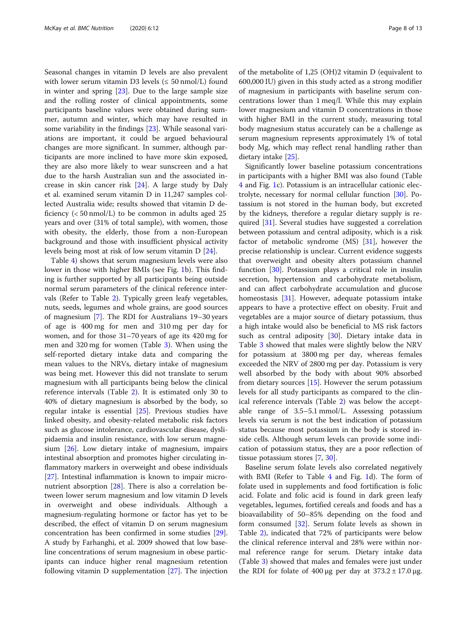Seasonal changes in vitamin D levels are also prevalent with lower serum vitamin D3 levels ( $\leq 50$  nmol/L) found in winter and spring [\[23](#page-11-0)]. Due to the large sample size and the rolling roster of clinical appointments, some participants baseline values were obtained during summer, autumn and winter, which may have resulted in some variability in the findings [\[23](#page-11-0)]. While seasonal variations are important, it could be argued behavioural changes are more significant. In summer, although participants are more inclined to have more skin exposed, they are also more likely to wear sunscreen and a hat due to the harsh Australian sun and the associated increase in skin cancer risk [[24\]](#page-11-0). A large study by Daly et al. examined serum vitamin D in 11,247 samples collected Australia wide; results showed that vitamin D deficiency  $( $50 \text{ nmol/L}$ ) to be common in adults aged 25$ years and over (31% of total sample), with women, those with obesity, the elderly, those from a non-European background and those with insufficient physical activity levels being most at risk of low serum vitamin D [\[24](#page-11-0)].

Table [4\)](#page-4-0) shows that serum magnesium levels were also lower in those with higher BMIs (see Fig. [1b](#page-5-0)). This finding is further supported by all participants being outside normal serum parameters of the clinical reference intervals (Refer to Table [2](#page-3-0)). Typically green leafy vegetables, nuts, seeds, legumes and whole grains, are good sources of magnesium [[7](#page-11-0)]. The RDI for Australians 19–30 years of age is 400 mg for men and 310 mg per day for women, and for those 31–70 years of age its 420 mg for men and 320 mg for women (Table [3](#page-4-0)). When using the self-reported dietary intake data and comparing the mean values to the NRVs, dietary intake of magnesium was being met. However this did not translate to serum magnesium with all participants being below the clinical reference intervals (Table [2](#page-3-0)). It is estimated only 30 to 40% of dietary magnesium is absorbed by the body, so regular intake is essential [[25\]](#page-11-0). Previous studies have linked obesity, and obesity-related metabolic risk factors such as glucose intolerance, cardiovascular disease, dyslipidaemia and insulin resistance, with low serum magnesium [\[26\]](#page-11-0). Low dietary intake of magnesium, impairs intestinal absorption and promotes higher circulating inflammatory markers in overweight and obese individuals [[27\]](#page-11-0). Intestinal inflammation is known to impair micronutrient absorption [\[28\]](#page-11-0). There is also a correlation between lower serum magnesium and low vitamin D levels in overweight and obese individuals. Although a magnesium-regulating hormone or factor has yet to be described, the effect of vitamin D on serum magnesium concentration has been confirmed in some studies [\[29](#page-11-0)]. A study by Farhanghi, et al. 2009 showed that low baseline concentrations of serum magnesium in obese participants can induce higher renal magnesium retention following vitamin D supplementation [\[27\]](#page-11-0). The injection of the metabolite of 1,25 (OH)2 vitamin D (equivalent to 600,000 IU) given in this study acted as a strong modifier of magnesium in participants with baseline serum concentrations lower than 1 meq/l. While this may explain lower magnesium and vitamin D concentrations in those with higher BMI in the current study, measuring total body magnesium status accurately can be a challenge as serum magnesium represents approximately 1% of total body Mg, which may reflect renal handling rather than dietary intake [\[25](#page-11-0)].

Significantly lower baseline potassium concentrations in participants with a higher BMI was also found (Table [4](#page-4-0) and Fig. [1c](#page-5-0)). Potassium is an intracellular cationic electrolyte, necessary for normal cellular function [\[30\]](#page-11-0). Potassium is not stored in the human body, but excreted by the kidneys, therefore a regular dietary supply is required [[31\]](#page-11-0). Several studies have suggested a correlation between potassium and central adiposity, which is a risk factor of metabolic syndrome (MS) [[31\]](#page-11-0), however the precise relationship is unclear. Current evidence suggests that overweight and obesity alters potassium channel function [[30](#page-11-0)]. Potassium plays a critical role in insulin secretion, hypertension and carbohydrate metabolism, and can affect carbohydrate accumulation and glucose homeostasis [\[31](#page-11-0)]. However, adequate potassium intake appears to have a protective effect on obesity. Fruit and vegetables are a major source of dietary potassium, thus a high intake would also be beneficial to MS risk factors such as central adiposity [[30](#page-11-0)]. Dietary intake data in Table [3](#page-4-0) showed that males were slightly below the NRV for potassium at 3800 mg per day, whereas females exceeded the NRV of 2800 mg per day. Potassium is very well absorbed by the body with about 90% absorbed from dietary sources [\[15\]](#page-11-0). However the serum potassium levels for all study participants as compared to the clinical reference intervals (Table [2\)](#page-3-0) was below the acceptable range of 3.5–5.1 mmol/L. Assessing potassium levels via serum is not the best indication of potassium status because most potassium in the body is stored inside cells. Although serum levels can provide some indication of potassium status, they are a poor reflection of tissue potassium stores [\[7](#page-11-0), [30\]](#page-11-0).

Baseline serum folate levels also correlated negatively with BMI (Refer to Table [4](#page-4-0) and Fig. [1d](#page-5-0)). The form of folate used in supplements and food fortification is folic acid. Folate and folic acid is found in dark green leafy vegetables, legumes, fortified cereals and foods and has a bioavailability of 50–85% depending on the food and form consumed [[32](#page-11-0)]. Serum folate levels as shown in Table [2\)](#page-3-0), indicated that 72% of participants were below the clinical reference interval and 28% were within normal reference range for serum. Dietary intake data (Table [3\)](#page-4-0) showed that males and females were just under the RDI for folate of 400 μg per day at  $373.2 \pm 17.0$  μg.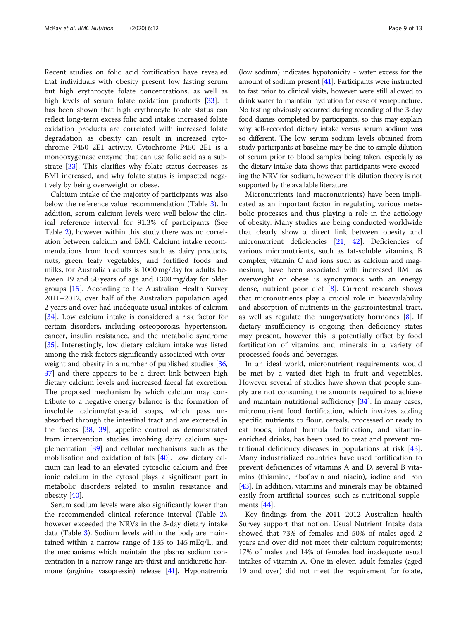Recent studies on folic acid fortification have revealed that individuals with obesity present low fasting serum but high erythrocyte folate concentrations, as well as high levels of serum folate oxidation products [\[33\]](#page-11-0). It has been shown that high erythrocyte folate status can reflect long-term excess folic acid intake; increased folate oxidation products are correlated with increased folate degradation as obesity can result in increased cytochrome P450 2E1 activity. Cytochrome P450 2E1 is a monooxygenase enzyme that can use folic acid as a substrate [[33\]](#page-11-0). This clarifies why folate status decreases as BMI increased, and why folate status is impacted negatively by being overweight or obese.

Calcium intake of the majority of participants was also below the reference value recommendation (Table [3](#page-4-0)). In addition, serum calcium levels were well below the clinical reference interval for 91.3% of participants (See Table [2\)](#page-3-0), however within this study there was no correlation between calcium and BMI. Calcium intake recommendations from food sources such as dairy products, nuts, green leafy vegetables, and fortified foods and milks, for Australian adults is 1000 mg/day for adults between 19 and 50 years of age and 1300 mg/day for older groups [[15](#page-11-0)]. According to the Australian Health Survey 2011–2012, over half of the Australian population aged 2 years and over had inadequate usual intakes of calcium [[34\]](#page-11-0). Low calcium intake is considered a risk factor for certain disorders, including osteoporosis, hypertension, cancer, insulin resistance, and the metabolic syndrome [[35\]](#page-11-0). Interestingly, low dietary calcium intake was listed among the risk factors significantly associated with overweight and obesity in a number of published studies [[36](#page-11-0), [37\]](#page-11-0) and there appears to be a direct link between high dietary calcium levels and increased faecal fat excretion. The proposed mechanism by which calcium may contribute to a negative energy balance is the formation of insoluble calcium/fatty-acid soaps, which pass unabsorbed through the intestinal tract and are excreted in the faeces [\[38](#page-11-0), [39](#page-11-0)], appetite control as demonstrated from intervention studies involving dairy calcium supplementation [[39\]](#page-11-0) and cellular mechanisms such as the mobilisation and oxidation of fats [\[40](#page-11-0)]. Low dietary calcium can lead to an elevated cytosolic calcium and free ionic calcium in the cytosol plays a significant part in metabolic disorders related to insulin resistance and obesity [\[40](#page-11-0)].

Serum sodium levels were also significantly lower than the recommended clinical reference interval (Table [2](#page-3-0)), however exceeded the NRVs in the 3-day dietary intake data (Table [3\)](#page-4-0). Sodium levels within the body are maintained within a narrow range of 135 to 145 mEq/L, and the mechanisms which maintain the plasma sodium concentration in a narrow range are thirst and antidiuretic hormone (arginine vasopressin) release [\[41\]](#page-11-0). Hyponatremia

(low sodium) indicates hypotonicity - water excess for the amount of sodium present [[41\]](#page-11-0). Participants were instructed to fast prior to clinical visits, however were still allowed to drink water to maintain hydration for ease of venepuncture. No fasting obviously occurred during recording of the 3-day food diaries completed by participants, so this may explain why self-recorded dietary intake versus serum sodium was so different. The low serum sodium levels obtained from study participants at baseline may be due to simple dilution of serum prior to blood samples being taken, especially as the dietary intake data shows that participants were exceeding the NRV for sodium, however this dilution theory is not supported by the available literature.

Micronutrients (and macronutrients) have been implicated as an important factor in regulating various metabolic processes and thus playing a role in the aetiology of obesity. Many studies are being conducted worldwide that clearly show a direct link between obesity and micronutrient deficiencies [[21,](#page-11-0) [42](#page-12-0)]. Deficiencies of various micronutrients, such as fat-soluble vitamins, B complex, vitamin C and ions such as calcium and magnesium, have been associated with increased BMI as overweight or obese is synonymous with an energy dense, nutrient poor diet  $[8]$  $[8]$ . Current research shows that micronutrients play a crucial role in bioavailability and absorption of nutrients in the gastrointestinal tract, as well as regulate the hunger/satiety hormones [[8\]](#page-11-0). If dietary insufficiency is ongoing then deficiency states may present, however this is potentially offset by food fortification of vitamins and minerals in a variety of processed foods and beverages.

In an ideal world, micronutrient requirements would be met by a varied diet high in fruit and vegetables. However several of studies have shown that people simply are not consuming the amounts required to achieve and maintain nutritional sufficiency [\[34\]](#page-11-0). In many cases, micronutrient food fortification, which involves adding specific nutrients to flour, cereals, processed or ready to eat foods, infant formula fortification, and vitaminenriched drinks, has been used to treat and prevent nutritional deficiency diseases in populations at risk [\[43](#page-12-0)]. Many industrialized countries have used fortification to prevent deficiencies of vitamins A and D, several B vitamins (thiamine, riboflavin and niacin), iodine and iron [[43\]](#page-12-0). In addition, vitamins and minerals may be obtained easily from artificial sources, such as nutritional supplements [[44\]](#page-12-0).

Key findings from the 2011–2012 Australian health Survey support that notion. Usual Nutrient Intake data showed that 73% of females and 50% of males aged 2 years and over did not meet their calcium requirements; 17% of males and 14% of females had inadequate usual intakes of vitamin A. One in eleven adult females (aged 19 and over) did not meet the requirement for folate,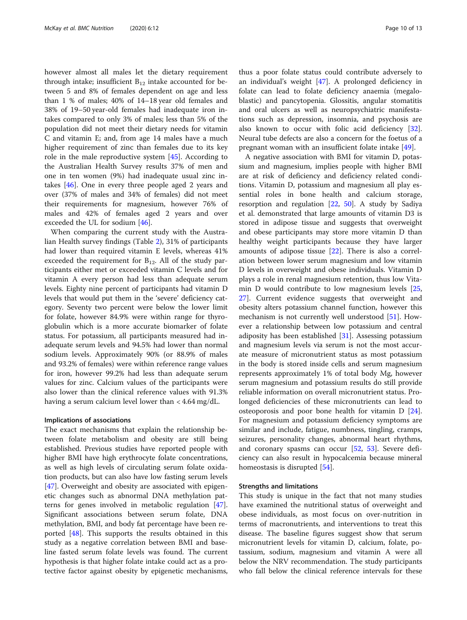however almost all males let the dietary requirement through intake; insufficient  $B_{12}$  intake accounted for between 5 and 8% of females dependent on age and less than 1 % of males; 40% of 14–18 year old females and 38% of 19–50 year-old females had inadequate iron intakes compared to only 3% of males; less than 5% of the population did not meet their dietary needs for vitamin C and vitamin E; and, from age 14 males have a much higher requirement of zinc than females due to its key role in the male reproductive system [\[45](#page-12-0)]. According to the Australian Health Survey results 37% of men and one in ten women (9%) had inadequate usual zinc intakes [[46](#page-12-0)]. One in every three people aged 2 years and over (37% of males and 34% of females) did not meet their requirements for magnesium, however 76% of males and 42% of females aged 2 years and over exceeded the UL for sodium [\[46](#page-12-0)].

When comparing the current study with the Australian Health survey findings (Table [2\)](#page-3-0), 31% of participants had lower than required vitamin E levels, whereas 41% exceeded the requirement for  $B_{12}$ . All of the study participants either met or exceeded vitamin C levels and for vitamin A every person had less than adequate serum levels. Eighty nine percent of participants had vitamin D levels that would put them in the 'severe' deficiency category. Seventy two percent were below the lower limit for folate, however 84.9% were within range for thyroglobulin which is a more accurate biomarker of folate status. For potassium, all participants measured had inadequate serum levels and 94.5% had lower than normal sodium levels. Approximately 90% (or 88.9% of males and 93.2% of females) were within reference range values for iron, however 99.2% had less than adequate serum values for zinc. Calcium values of the participants were also lower than the clinical reference values with 91.3% having a serum calcium level lower than < 4.64 mg/dL.

#### Implications of associations

The exact mechanisms that explain the relationship between folate metabolism and obesity are still being established. Previous studies have reported people with higher BMI have high erythrocyte folate concentrations, as well as high levels of circulating serum folate oxidation products, but can also have low fasting serum levels [[47\]](#page-12-0). Overweight and obesity are associated with epigenetic changes such as abnormal DNA methylation patterns for genes involved in metabolic regulation [\[47](#page-12-0)]. Significant associations between serum folate, DNA methylation, BMI, and body fat percentage have been reported [\[48](#page-12-0)]. This supports the results obtained in this study as a negative correlation between BMI and baseline fasted serum folate levels was found. The current hypothesis is that higher folate intake could act as a protective factor against obesity by epigenetic mechanisms,

thus a poor folate status could contribute adversely to an individual's weight [\[47\]](#page-12-0). A prolonged deficiency in folate can lead to folate deficiency anaemia (megaloblastic) and pancytopenia. Glossitis, angular stomatitis and oral ulcers as well as neuropsychiatric manifestations such as depression, insomnia, and psychosis are also known to occur with folic acid deficiency [\[32](#page-11-0)]. Neural tube defects are also a concern for the foetus of a pregnant woman with an insufficient folate intake [\[49](#page-12-0)].

A negative association with BMI for vitamin D, potassium and magnesium, implies people with higher BMI are at risk of deficiency and deficiency related conditions. Vitamin D, potassium and magnesium all play essential roles in bone health and calcium storage, resorption and regulation [[22](#page-11-0), [50\]](#page-12-0). A study by Sadiya et al. demonstrated that large amounts of vitamin D3 is stored in adipose tissue and suggests that overweight and obese participants may store more vitamin D than healthy weight participants because they have larger amounts of adipose tissue [[22\]](#page-11-0). There is also a correlation between lower serum magnesium and low vitamin D levels in overweight and obese individuals. Vitamin D plays a role in renal magnesium retention, thus low Vitamin D would contribute to low magnesium levels [[25](#page-11-0), [27\]](#page-11-0). Current evidence suggests that overweight and obesity alters potassium channel function, however this mechanism is not currently well understood [[51](#page-12-0)]. However a relationship between low potassium and central adiposity has been established  $[31]$  $[31]$ . Assessing potassium and magnesium levels via serum is not the most accurate measure of micronutrient status as most potassium in the body is stored inside cells and serum magnesium represents approximately 1% of total body Mg, however serum magnesium and potassium results do still provide reliable information on overall micronutrient status. Prolonged deficiencies of these micronutrients can lead to osteoporosis and poor bone health for vitamin D [\[24](#page-11-0)]. For magnesium and potassium deficiency symptoms are similar and include, fatigue, numbness, tingling, cramps, seizures, personality changes, abnormal heart rhythms, and coronary spasms can occur [\[52,](#page-12-0) [53\]](#page-12-0). Severe deficiency can also result in hypocalcemia because mineral homeostasis is disrupted [\[54\]](#page-12-0).

#### Strengths and limitations

This study is unique in the fact that not many studies have examined the nutritional status of overweight and obese individuals, as most focus on over-nutrition in terms of macronutrients, and interventions to treat this disease. The baseline figures suggest show that serum micronutrient levels for vitamin D, calcium, folate, potassium, sodium, magnesium and vitamin A were all below the NRV recommendation. The study participants who fall below the clinical reference intervals for these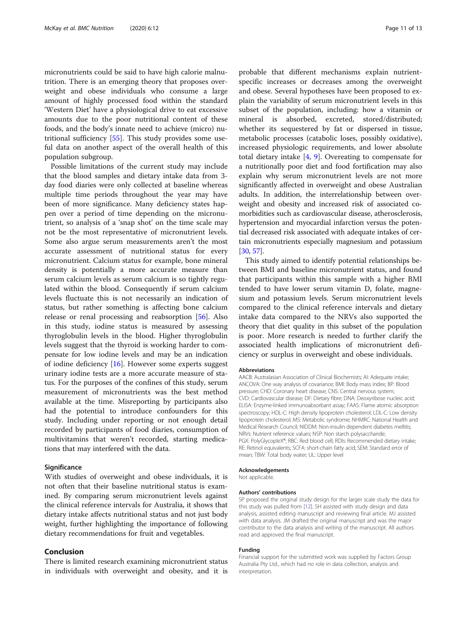micronutrients could be said to have high calorie malnutrition. There is an emerging theory that proposes overweight and obese individuals who consume a large amount of highly processed food within the standard 'Western Diet' have a physiological drive to eat excessive amounts due to the poor nutritional content of these foods, and the body's innate need to achieve (micro) nutritional sufficiency [\[55\]](#page-12-0). This study provides some useful data on another aspect of the overall health of this population subgroup.

Possible limitations of the current study may include that the blood samples and dietary intake data from 3 day food diaries were only collected at baseline whereas multiple time periods throughout the year may have been of more significance. Many deficiency states happen over a period of time depending on the micronutrient, so analysis of a 'snap shot' on the time scale may not be the most representative of micronutrient levels. Some also argue serum measurements aren't the most accurate assessment of nutritional status for every micronutrient. Calcium status for example, bone mineral density is potentially a more accurate measure than serum calcium levels as serum calcium is so tightly regulated within the blood. Consequently if serum calcium levels fluctuate this is not necessarily an indication of status, but rather something is affecting bone calcium release or renal processing and reabsorption [[56](#page-12-0)]. Also in this study, iodine status is measured by assessing thyroglobulin levels in the blood. Higher thyroglobulin levels suggest that the thyroid is working harder to compensate for low iodine levels and may be an indication of iodine deficiency [\[16\]](#page-11-0). However some experts suggest urinary iodine tests are a more accurate measure of status. For the purposes of the confines of this study, serum measurement of micronutrients was the best method available at the time. Misreporting by participants also had the potential to introduce confounders for this study. Including under reporting or not enough detail recorded by participants of food diaries, consumption of multivitamins that weren't recorded, starting medications that may interfered with the data.

#### **Significance**

With studies of overweight and obese individuals, it is not often that their baseline nutritional status is examined. By comparing serum micronutrient levels against the clinical reference intervals for Australia, it shows that dietary intake affects nutritional status and not just body weight, further highlighting the importance of following dietary recommendations for fruit and vegetables.

#### Conclusion

There is limited research examining micronutrient status in individuals with overweight and obesity, and it is

probable that different mechanisms explain nutrientspecific increases or decreases among the overweight and obese. Several hypotheses have been proposed to explain the variability of serum micronutrient levels in this subset of the population, including: how a vitamin or mineral is absorbed, excreted, stored/distributed; whether its sequestered by fat or dispersed in tissue, metabolic processes (catabolic loses, possibly oxidative), increased physiologic requirements, and lower absolute total dietary intake  $[4, 9]$  $[4, 9]$  $[4, 9]$  $[4, 9]$  $[4, 9]$ . Overeating to compensate for a nutritionally poor diet and food fortification may also explain why serum micronutrient levels are not more significantly affected in overweight and obese Australian adults. In addition, the interrelationship between overweight and obesity and increased risk of associated comorbidities such as cardiovascular disease, atherosclerosis, hypertension and myocardial infarction versus the potential decreased risk associated with adequate intakes of certain micronutrients especially magnesium and potassium [[30](#page-11-0), [57\]](#page-12-0).

This study aimed to identify potential relationships between BMI and baseline micronutrient status, and found that participants within this sample with a higher BMI tended to have lower serum vitamin D, folate, magnesium and potassium levels. Serum micronutrient levels compared to the clinical reference intervals and dietary intake data compared to the NRVs also supported the theory that diet quality in this subset of the population is poor. More research is needed to further clarify the associated health implications of micronutrient deficiency or surplus in overweight and obese individuals.

#### Abbreviations

AACB: Australasian Association of Clinical Biochemists; AI: Adequate intake; ANCOVA: One way analysis of covariance; BMI: Body mass index; BP: Blood pressure; CHD: Coronary heart disease; CNS: Central nervous system; CVD: Cardiovascular disease; DF: Dietary fibre; DNA: Deoxyribose nucleic acid; ELISA: Enzyme-linked immunoabsorbant assay; FAAS: Flame atomic absorption spectroscopy; HDL-C: High density lipoprotein cholesterol; LDL-C: Low density lipoprotein cholesterol; MS: Metabolic syndrome; NHMRC: National Health and Medical Research Council; NIDDM: Non-insulin dependent diabetes mellitis; NRVs: Nutrient reference values; NSP: Non starch polysaccharide; PGX: PolyGlycopleX®; RBC: Red blood cell; RDIs: Recommended dietary intake; RE: Retinol equivalents; SCFA: short-chain fatty acid; SEM: Standard error of mean; TBW: Total body water; UL: Upper level

#### Acknowledgements

Not applicable.

#### Authors' contributions

SP proposed the original study design for the larger scale study the data for this study was pulled from [\[12](#page-11-0)]. SH assisted with study design and data analysis, assisted editing manuscript and reviewing final article. MJ assisted with data analysis. JM drafted the original manuscript and was the major contributor to the data analysis and writing of the manuscript. All authors read and approved the final manuscript.

#### Funding

Financial support for the submitted work was supplied by Factors Group Australia Pty Ltd., which had no role in data collection, analysis and interpretation.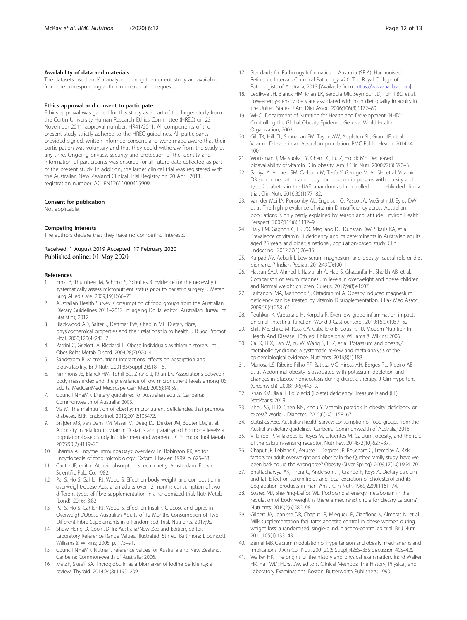#### <span id="page-11-0"></span>Availability of data and materials

The datasets used and/or analysed during the current study are available from the corresponding author on reasonable request.

#### Ethics approval and consent to participate

Ethics approval was gained for this study as a part of the larger study from the Curtin University Human Research Ethics Committee (HREC) on 23 November 2011, approval number: HR41/2011. All components of the present study strictly adhered to the HREC guidelines. All participants provided signed, written informed consent, and were made aware that their participation was voluntary and that they could withdraw from the study at any time. Ongoing privacy, security and protection of the identity and information of participants was ensured for all future data collected as part of the present study. In addition, the larger clinical trial was registered with the Australian New Zealand Clinical Trial Registry on 20 April 2011, registration number: ACTRN12611000415909.

#### Consent for publication

Not applicable.

#### Competing interests

The authors declare that they have no competing interests.

Received: 1 August 2019 Accepted: 17 February 2020 Published online: 01 May 2020

#### References

- 1. Ernst B, Thurnheer M, Schmid S, Schultes B. Evidence for the necessity to systematically assess micronutrient status prior to bariatric surgery. J Metab Surg Allied Care. 2009;19(1):66–73.
- 2. Australian Health Survey: Consumption of food groups from the Australian Dietary Guidelines 2011–2012. In: ageing DoHa, editor.: Australian Bureau of Statistics: 2012
- 3. Blackwood AD, Salter J, Dettmar PW, Chaplin MF. Dietary fibre, physicochemical properties and their relationship to health. J R Soc Promot Heal. 2000;120(4):242–7.
- 4. Patrini C, Griziotti A, Ricciardi L. Obese individuals as thiamin storers. Int J Obes Relat Metab Disord. 2004;28(7):920–4.
- 5. Sandstrom B. Micronutrient interactions: effects on absorption and bioavailability. Br J Nutr. 2001;85(Suppl 2):S181–5.
- 6. Kimmons JE, Blanck HM, Tohill BC, Zhang J, Khan LK. Associations between body mass index and the prevalence of low micronutrient levels among US adults. MedGenMed Medscape Gen Med. 2006;8(4):59.
- 7. Council NHaMR. Dietary guidelines for Australian adults. Canberra: Commonwealth of Australia; 2003.
- 8. Via M. The malnutrition of obesity: micronutrient deficiencies that promote diabetes. ISRN Endocrinol. 2012;2012:103472.
- 9. Snijder MB, van Dam RM, Visser M, Deeg DJ, Dekker JM, Bouter LM, et al. Adiposity in relation to vitamin D status and parathyroid hormone levels: a population-based study in older men and women. J Clin Endocrinol Metab. 2005;90(7):4119–23.
- 10. Sharma A. Enzyme immunoassays: overview. In: Robinson RK, editor. Encyclopedia of food microbiology. Oxford: Elsevier; 1999. p. 625–33.
- 11. Cantle JE, editor. Atomic absorption spectrometry. Amsterdam: Elsevier Scientific Pub. Co; 1982.
- 12. Pal S, Ho S, Gahler RJ, Wood S. Effect on body weight and composition in overweight/obese Australian adults over 12 months consumption of two different types of fibre supplementation in a randomized trial. Nutr Metab (Lond). 2016;13:82.
- 13. Pal S, Ho S, Gahler RJ, Wood S. Effect on Insulin, Glucose and Lipids in Overweight/Obese Australian Adults of 12 Months Consumption of Two Different Fibre Supplements in a Randomised Trial. Nutrients. 2017;9:2.
- 14. Show-Hong D, Cook JD. In: Australia/New Zealand Edition, editor. Laboratory Reference Range Values. Illustrated. 5th ed. Baltimore: Lippincott Williams & Wilkins; 2005. p. 175–91.
- 15. Council NHaMR. Nutrient reference values for Australia and New Zealand. Canberra: Commonwealth of Australia; 2006.
- 16. Ma ZF, Skeaff SA. Thyroglobulin as a biomarker of iodine deficiency: a review. Thyroid. 2014;24(8):1195–209.
- 17. Standards for Pathology Informatics in Australia (SPIA): Harmonised Reference Intervals Chemical Pathology v2.0: The Royal College of Pathologists of Australia; 2013 [Available from: [https://www.aacb.asn.au\]](https://www.aacb.asn.au).
- 18. Ledikwe JH, Blanck HM, Khan LK, Serdula MK, Seymour JD, Tohill BC, et al. Low-energy-density diets are associated with high diet quality in adults in the United States. J Am Diet Assoc. 2006;106(8):1172–80.
- 19. WHO. Department of Nutrition for Health and Development (NHD): Controlling the Global Obesity Epidemic. Geneva: World Health Organization; 2002.
- 20. Gill TK, Hill CL, Shanahan EM, Taylor AW, Appleton SL, Grant JF, et al. Vitamin D levels in an Australian population. BMC Public Health. 2014;14: 1001.
- 21. Wortsman J, Matsuoka LY, Chen TC, Lu Z, Holick MF. Decreased bioavailability of vitamin D in obesity. Am J Clin Nutr. 2000;72(3):690–3.
- 22. Sadiya A, Ahmed SM, Carlsson M, Tesfa Y, George M, Ali SH, et al. Vitamin D3 supplementation and body composition in persons with obesity and type 2 diabetes in the UAE: a randomized controlled double-blinded clinical trial. Clin Nutr. 2016;35(1):77–82.
- 23. van der Mei IA, Ponsonby AL, Engelsen O, Pasco JA, McGrath JJ, Eyles DW, et al. The high prevalence of vitamin D insufficiency across Australian populations is only partly explained by season and latitude. Environ Health Perspect. 2007;115(8):1132–9.
- 24. Daly RM, Gagnon C, Lu ZX, Magliano DJ, Dunstan DW, Sikaris KA, et al. Prevalence of vitamin D deficiency and its determinants in Australian adults aged 25 years and older: a national, population-based study. Clin Endocrinol. 2012;77(1):26–35.
- 25. Kurpad AV, Aeberli I. Low serum magnesium and obesity--causal role or diet biomarker? Indian Pediatr. 2012;49(2):100–1.
- 26. Hassan SAU, Ahmed I, Nasrullah A, Haq S, Ghazanfar H, Sheikh AB, et al. Comparison of serum magnesium levels in overweight and obese children and Normal weight children. Cureus. 2017;9(8):e1607.
- 27. Farhanghi MA, Mahboob S, Ostadrahimi A. Obesity induced magnesium deficiency can be treated by vitamin D supplementation. J Pak Med Assoc. 2009;59(4):258–61.
- 28. Peuhkuri K, Vapaatalo H, Korpela R. Even low-grade inflammation impacts on small intestinal function. World J Gastroenterol. 2010;16(9):1057–62.
- 29. Shils ME, Shike M, Ross CA, Caballero B, Cousins RJ. Modern Nutrition In Health And Disease. 10th ed. Philadelphia: Williams & Wilkins; 2006.
- 30. Cai X, Li X, Fan W, Yu W, Wang S, Li Z, et al. Potassium and obesity/ metabolic syndrome: a systematic review and meta-analysis of the epidemiological evidence. Nutrients. 2016;8(4):183.
- 31. Mariosa LS, Ribeiro-Filho FF, Batista MC, Hirota AH, Borges RL, Ribeiro AB, et al. Abdominal obesity is associated with potassium depletion and changes in glucose homeostasis during diuretic therapy. J Clin Hypertens (Greenwich). 2008;10(6):443–9.
- 32. Khan KM, Jialal I. Folic acid (Folate) deficiency. Treasure Island (FL): StatPearls; 2019.
- 33. Zhou SS, Li D, Chen NN, Zhou Y. Vitamin paradox in obesity: deficiency or excess? World J Diabetes. 2015;6(10):1158–67.
- 34. Statistics ABo. Australian health survey: consumption of food groups from the Australian dietary guidelines. Canberra: Commonwealth of Australia; 2016.
- Villarroel P, Villalobos E, Reyes M, Cifuentes M. Calcium, obesity, and the role of the calcium-sensing receptor. Nutr Rev. 2014;72(10):627–37.
- 36. Chaput JP, Leblanc C, Perusse L, Despres JP, Bouchard C, Tremblay A. Risk factors for adult overweight and obesity in the Quebec family study: have we been barking up the wrong tree? Obesity (Silver Spring). 2009;17(10):1964–70.
- 37. Bhattacharyya AK, Thera C, Anderson JT, Grande F, Keys A. Dietary calcium and fat. Effect on serum lipids and fecal excretion of cholesterol and its degradation products in man. Am J Clin Nutr. 1969;22(9):1161–74.
- 38. Soares MJ, She-Ping-Delfos WL. Postprandial energy metabolism in the regulation of body weight: is there a mechanistic role for dietary calcium? Nutrients. 2010;2(6):586–98.
- 39. Gilbert JA, Joanisse DR, Chaput JP, Miegueu P, Cianflone K, Almeras N, et al. Milk supplementation facilitates appetite control in obese women during weight loss: a randomised, single-blind, placebo-controlled trial. Br J Nutr. 2011;105(1):133–43.
- 40. Zemel MB. Calcium modulation of hypertension and obesity: mechanisms and implications. J Am Coll Nutr. 2001;20(5 Suppl):428S–35S discussion 40S–42S.
- 41. Walker HK. The origins of the history and physical examination. In: rd Walker HK, Hall WD, Hurst JW, editors. Clinical Methods: The History, Physical, and Laboratory Examinations. Boston: Butterworth Publishers; 1990.